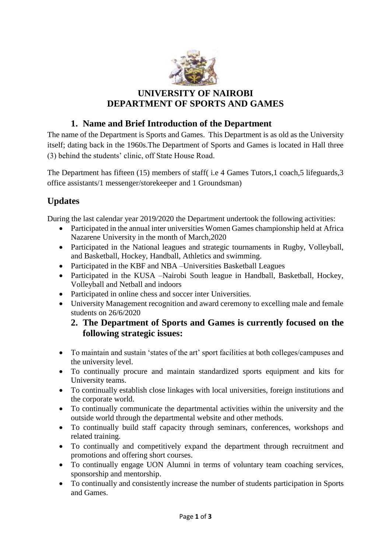

## **UNIVERSITY OF NAIROBI DEPARTMENT OF SPORTS AND GAMES**

### **1. Name and Brief Introduction of the Department**

The name of the Department is Sports and Games. This Department is as old as the University itself; dating back in the 1960s.The Department of Sports and Games is located in Hall three (3) behind the students' clinic, off State House Road.

The Department has fifteen (15) members of staff( i.e 4 Games Tutors,1 coach,5 lifeguards,3 office assistants/1 messenger/storekeeper and 1 Groundsman)

# **Updates**

During the last calendar year 2019/2020 the Department undertook the following activities:

- Participated in the annual inter universities Women Games championship held at Africa Nazarene University in the month of March,2020
- Participated in the National leagues and strategic tournaments in Rugby, Volleyball, and Basketball, Hockey, Handball, Athletics and swimming.
- Participated in the KBF and NBA –Universities Basketball Leagues
- Participated in the KUSA –Nairobi South league in Handball, Basketball, Hockey, Volleyball and Netball and indoors
- Participated in online chess and soccer inter Universities.
- University Management recognition and award ceremony to excelling male and female students on 26/6/2020

#### **2. The Department of Sports and Games is currently focused on the following strategic issues:**

- To maintain and sustain 'states of the art' sport facilities at both colleges/campuses and the university level.
- To continually procure and maintain standardized sports equipment and kits for University teams.
- To continually establish close linkages with local universities, foreign institutions and the corporate world.
- To continually communicate the departmental activities within the university and the outside world through the departmental website and other methods.
- To continually build staff capacity through seminars, conferences, workshops and related training.
- To continually and competitively expand the department through recruitment and promotions and offering short courses.
- To continually engage UON Alumni in terms of voluntary team coaching services, sponsorship and mentorship.
- To continually and consistently increase the number of students participation in Sports and Games.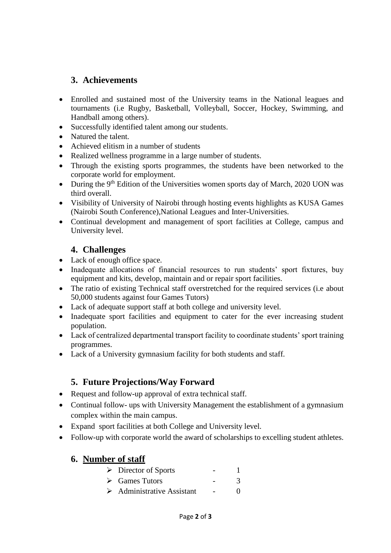#### **3. Achievements**

- Enrolled and sustained most of the University teams in the National leagues and tournaments (i.e Rugby, Basketball, Volleyball, Soccer, Hockey, Swimming, and Handball among others).
- Successfully identified talent among our students.
- Natured the talent.
- Achieved elitism in a number of students
- Realized wellness programme in a large number of students.
- Through the existing sports programmes, the students have been networked to the corporate world for employment.
- During the  $9<sup>th</sup>$  Edition of the Universities women sports day of March, 2020 UON was third overall.
- Visibility of University of Nairobi through hosting events highlights as KUSA Games (Nairobi South Conference),National Leagues and Inter-Universities.
- Continual development and management of sport facilities at College, campus and University level.

#### **4. Challenges**

- Lack of enough office space.
- Inadequate allocations of financial resources to run students' sport fixtures, buy equipment and kits, develop, maintain and or repair sport facilities.
- The ratio of existing Technical staff overstretched for the required services (i.e about 50,000 students against four Games Tutors)
- Lack of adequate support staff at both college and university level.
- Inadequate sport facilities and equipment to cater for the ever increasing student population.
- Lack of centralized departmental transport facility to coordinate students' sport training programmes.
- Lack of a University gymnasium facility for both students and staff.

## **5. Future Projections/Way Forward**

- Request and follow-up approval of extra technical staff.
- Continual follow- ups with University Management the establishment of a gymnasium complex within the main campus.
- Expand sport facilities at both College and University level.
- Follow-up with corporate world the award of scholarships to excelling student athletes.

## **6. Number of staff**

| $\triangleright$ Director of Sports       |              |
|-------------------------------------------|--------------|
| $\triangleright$ Games Tutors             |              |
| $\triangleright$ Administrative Assistant | $\mathbf{0}$ |